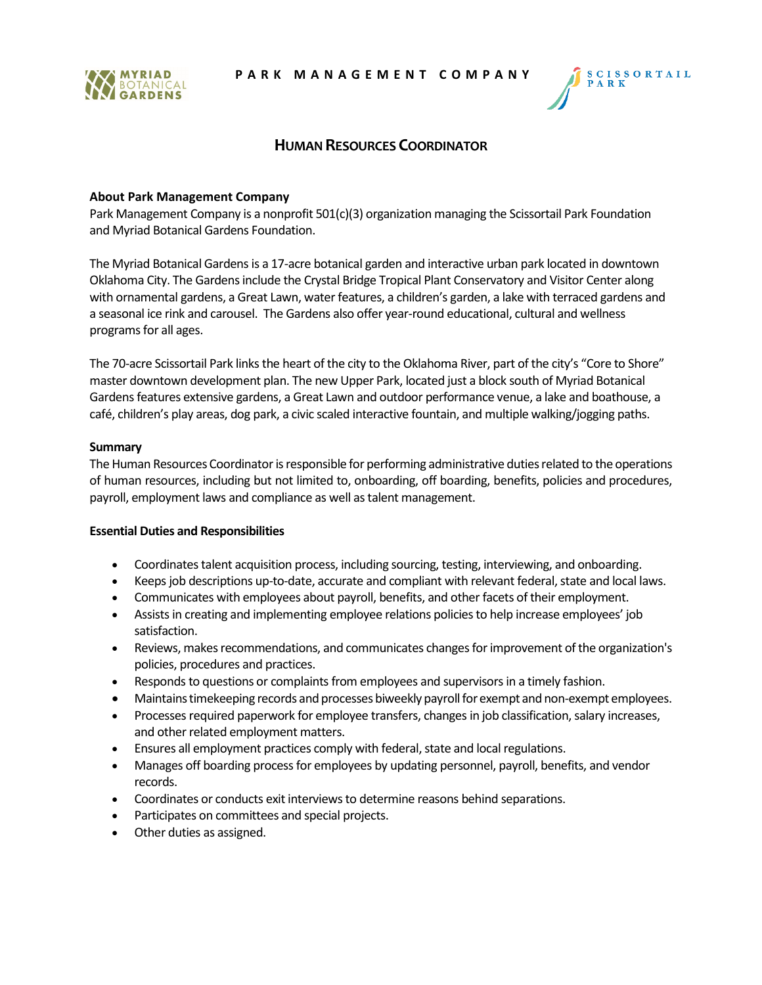



# **HUMAN RESOURCES COORDINATOR**

## **About Park Management Company**

Park Management Company is a nonprofit 501(c)(3) organization managing the Scissortail Park Foundation and Myriad Botanical Gardens Foundation.

The Myriad Botanical Gardens is a 17-acre botanical garden and interactive urban park located in downtown Oklahoma City. The Gardens include the Crystal Bridge Tropical Plant Conservatory and Visitor Center along with ornamental gardens, a Great Lawn, water features, a children's garden, a lake with terraced gardens and a seasonal ice rink and carousel. The Gardens also offer year-round educational, cultural and wellness programs for all ages.

The 70-acre Scissortail Park links the heart of the city to the Oklahoma River, part of the city's "Core to Shore" master downtown development plan. The new Upper Park, located just a block south of Myriad Botanical Gardens features extensive gardens, a Great Lawn and outdoor performance venue, a lake and boathouse, a café, children's play areas, dog park, a civic scaled interactive fountain, and multiple walking/jogging paths.

### **Summary**

The Human Resources Coordinator is responsible for performing administrative duties related to the operations of human resources, including but not limited to, onboarding, off boarding, benefits, policies and procedures, payroll, employment laws and compliance as well as talent management.

### **Essential Duties and Responsibilities**

- Coordinates talent acquisition process, including sourcing, testing, interviewing, and onboarding.
- Keeps job descriptions up-to-date, accurate and compliant with relevant federal, state and local laws.
- Communicates with employees about payroll, benefits, and other facets of their employment.
- Assists in creating and implementing employee relations policies to help increase employees' job satisfaction.
- Reviews, makes recommendations, and communicates changes for improvement of the organization's policies, procedures and practices.
- Responds to questions or complaints from employees and supervisors in a timely fashion.
- Maintains timekeeping records and processes biweekly payroll for exempt and non-exempt employees.
- Processes required paperwork for employee transfers, changes in job classification, salary increases, and other related employment matters.
- Ensures all employment practices comply with federal, state and local regulations.
- Manages off boarding process for employees by updating personnel, payroll, benefits, and vendor records.
- Coordinates or conducts exit interviews to determine reasons behind separations.
- Participates on committees and special projects.
- Other duties as assigned.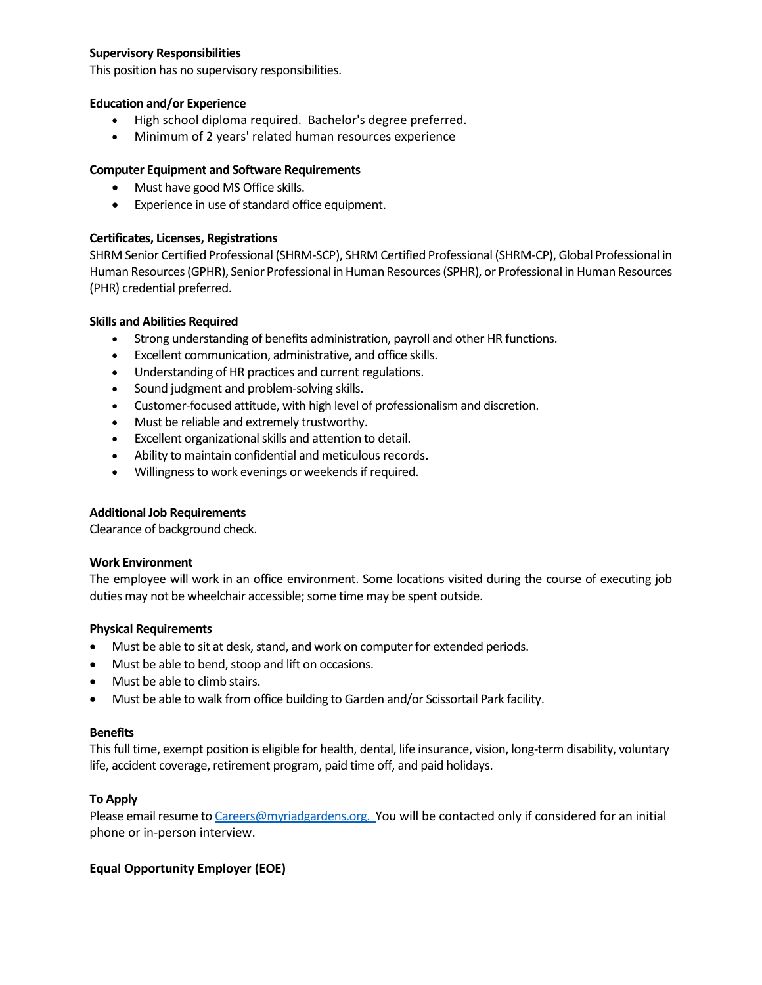## **Supervisory Responsibilities**

This position has no supervisory responsibilities.

## **Education and/or Experience**

- High school diploma required. Bachelor's degree preferred.
- Minimum of 2 years' related human resources experience

## **Computer Equipment and Software Requirements**

- Must have good MS Office skills.
- Experience in use of standard office equipment.

## **Certificates, Licenses, Registrations**

SHRM Senior Certified Professional (SHRM-SCP), SHRM Certified Professional (SHRM-CP), Global Professional in Human Resources (GPHR), Senior Professional in Human Resources (SPHR), or Professional in Human Resources (PHR) credential preferred.

## **Skills and Abilities Required**

- Strong understanding of benefits administration, payroll and other HR functions.
- Excellent communication, administrative, and office skills.
- Understanding of HR practices and current regulations.
- Sound judgment and problem-solving skills.
- Customer-focused attitude, with high level of professionalism and discretion.
- Must be reliable and extremely trustworthy.
- Excellent organizational skills and attention to detail.
- Ability to maintain confidential and meticulous records.
- Willingness to work evenings or weekends if required.

### **Additional Job Requirements**

Clearance of background check.

### **Work Environment**

The employee will work in an office environment. Some locations visited during the course of executing job duties may not be wheelchair accessible; some time may be spent outside.

### **Physical Requirements**

- Must be able to sit at desk, stand, and work on computer for extended periods.
- Must be able to bend, stoop and lift on occasions.
- Must be able to climb stairs.
- Must be able to walk from office building to Garden and/or Scissortail Park facility.

### **Benefits**

This full time, exempt position is eligible for health, dental, life insurance, vision, long-term disability, voluntary life, accident coverage, retirement program, paid time off, and paid holidays.

### **To Apply**

Please email resume t[o Careers@myriadgardens.org.](mailto:Careers@myriadgardens.org) You will be contacted only if considered for an initial phone or in-person interview.

## **Equal Opportunity Employer (EOE)**